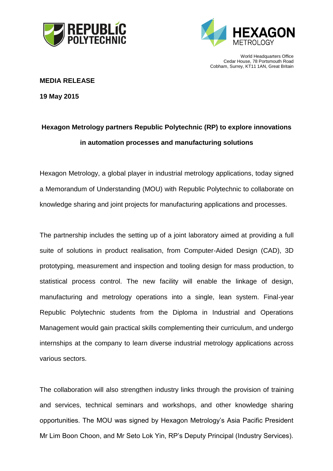



World Headquarters Office Cedar House, 78 Portsmouth Road Cobham, Surrey, KT11 1AN, Great Britain

## **MEDIA RELEASE**

**19 May 2015**

# **Hexagon Metrology partners Republic Polytechnic (RP) to explore innovations in automation processes and manufacturing solutions**

Hexagon Metrology, a global player in industrial metrology applications, today signed a Memorandum of Understanding (MOU) with Republic Polytechnic to collaborate on knowledge sharing and joint projects for manufacturing applications and processes.

The partnership includes the setting up of a joint laboratory aimed at providing a full suite of solutions in product realisation, from Computer-Aided Design (CAD), 3D prototyping, measurement and inspection and tooling design for mass production, to statistical process control. The new facility will enable the linkage of design, manufacturing and metrology operations into a single, lean system. Final-year Republic Polytechnic students from the Diploma in Industrial and Operations Management would gain practical skills complementing their curriculum, and undergo internships at the company to learn diverse industrial metrology applications across various sectors.

The collaboration will also strengthen industry links through the provision of training and services, technical seminars and workshops, and other knowledge sharing opportunities. The MOU was signed by Hexagon Metrology's Asia Pacific President Mr Lim Boon Choon, and Mr Seto Lok Yin, RP's Deputy Principal (Industry Services).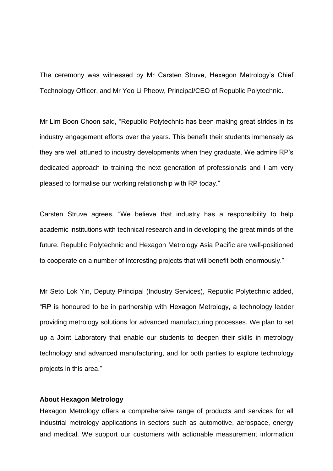The ceremony was witnessed by Mr Carsten Struve, Hexagon Metrology's Chief Technology Officer, and Mr Yeo Li Pheow, Principal/CEO of Republic Polytechnic.

Mr Lim Boon Choon said, "Republic Polytechnic has been making great strides in its industry engagement efforts over the years. This benefit their students immensely as they are well attuned to industry developments when they graduate. We admire RP's dedicated approach to training the next generation of professionals and I am very pleased to formalise our working relationship with RP today."

Carsten Struve agrees, "We believe that industry has a responsibility to help academic institutions with technical research and in developing the great minds of the future. Republic Polytechnic and Hexagon Metrology Asia Pacific are well-positioned to cooperate on a number of interesting projects that will benefit both enormously."

Mr Seto Lok Yin, Deputy Principal (Industry Services), Republic Polytechnic added, "RP is honoured to be in partnership with Hexagon Metrology, a technology leader providing metrology solutions for advanced manufacturing processes. We plan to set up a Joint Laboratory that enable our students to deepen their skills in metrology technology and advanced manufacturing, and for both parties to explore technology projects in this area."

#### **About Hexagon Metrology**

Hexagon Metrology offers a comprehensive range of products and services for all industrial metrology applications in sectors such as automotive, aerospace, energy and medical. We support our customers with actionable measurement information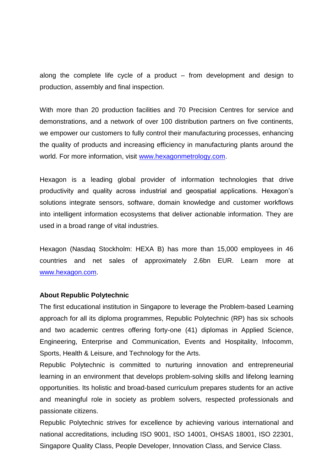along the complete life cycle of a product – from development and design to production, assembly and final inspection.

With more than 20 production facilities and 70 Precision Centres for service and demonstrations, and a network of over 100 distribution partners on five continents, we empower our customers to fully control their manufacturing processes, enhancing the quality of products and increasing efficiency in manufacturing plants around the world. For more information, visit [www.hexagonmetrology.com.](http://www.hexagonmetrology.com/)

Hexagon is a leading global provider of information technologies that drive productivity and quality across industrial and geospatial applications. Hexagon's solutions integrate sensors, software, domain knowledge and customer workflows into intelligent information ecosystems that deliver actionable information. They are used in a broad range of vital industries.

Hexagon (Nasdaq Stockholm: HEXA B) has more than 15,000 employees in 46 countries and net sales of approximately 2.6bn EUR. Learn more at [www.hexagon.com.](http://www.hexagon.com/)

#### **About Republic Polytechnic**

The first educational institution in Singapore to leverage the Problem-based Learning approach for all its diploma programmes, Republic Polytechnic (RP) has six schools and two academic centres offering forty-one (41) diplomas in Applied Science, Engineering, Enterprise and Communication, Events and Hospitality, Infocomm, Sports, Health & Leisure, and Technology for the Arts.

Republic Polytechnic is committed to nurturing innovation and entrepreneurial learning in an environment that develops problem-solving skills and lifelong learning opportunities. Its holistic and broad-based curriculum prepares students for an active and meaningful role in society as problem solvers, respected professionals and passionate citizens.

Republic Polytechnic strives for excellence by achieving various international and national accreditations, including ISO 9001, ISO 14001, OHSAS 18001, ISO 22301, Singapore Quality Class, People Developer, Innovation Class, and Service Class.